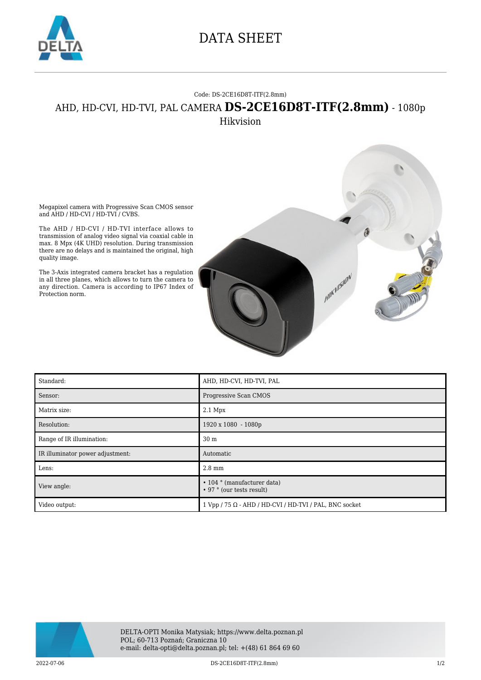

## DATA SHEET

## Code: DS-2CE16D8T-ITF(2.8mm)

## AHD, HD-CVI, HD-TVI, PAL CAMERA **DS-2CE16D8T-ITF(2.8mm)** - 1080p

Hikvision

Megapixel camera with Progressive Scan CMOS sensor and AHD / HD-CVI / HD-TVI / CVBS.

The AHD / HD-CVI / HD-TVI interface allows to transmission of analog video signal via coaxial cable in max. 8 Mpx (4K UHD) resolution. During transmission there are no delays and is maintained the original, high quality image.

The 3-Axis integrated camera bracket has a regulation in all three planes, which allows to turn the camera to any direction. Camera is according to IP67 Index of Protection norm.



| Standard:                        | AHD, HD-CVI, HD-TVI, PAL                                             |
|----------------------------------|----------------------------------------------------------------------|
| Sensor:                          | Progressive Scan CMOS                                                |
| Matrix size:                     | $2.1$ Mpx                                                            |
| Resolution:                      | 1920 x 1080 - 1080p                                                  |
| Range of IR illumination:        | 30 <sub>m</sub>                                                      |
| IR illuminator power adjustment: | Automatic                                                            |
| Lens:                            | $2.8 \text{ mm}$                                                     |
| View angle:                      | $\cdot$ 104 $\circ$ (manufacturer data)<br>• 97 ° (our tests result) |
| Video output:                    | $1 Vpp / 75 \Omega$ - AHD / HD-CVI / HD-TVI / PAL, BNC socket        |



2022-07-06 DS-2CE16D8T-ITF(2.8mm) 1/2